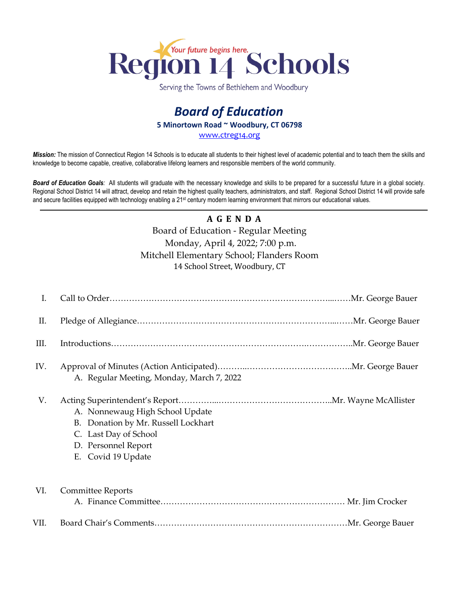

Serving the Towns of Bethlehem and Woodbury

## *Board of Education* **5 Minortown Road ~ Woodbury, CT 06798** [www.ctreg14.org](http://www.ctreg14.org/)

*Mission:* The mission of Connecticut Region 14 Schools is to educate all students to their highest level of academic potential and to teach them the skills and knowledge to become capable, creative, collaborative lifelong learners and responsible members of the world community.

*Board of Education Goals:* All students will graduate with the necessary knowledge and skills to be prepared for a successful future in a global society. Regional School District 14 will attract, develop and retain the highest quality teachers, administrators, and staff. Regional School District 14 will provide safe and secure facilities equipped with technology enabling a 21<sup>st</sup> century modern learning environment that mirrors our educational values.

## **A G E N D A**

## Board of Education - Regular Meeting Monday, April 4, 2022; 7:00 p.m. Mitchell Elementary School; Flanders Room 14 School Street, Woodbury, CT

| I.   |                                                                                                                                              |  |
|------|----------------------------------------------------------------------------------------------------------------------------------------------|--|
| Π.   |                                                                                                                                              |  |
| III. |                                                                                                                                              |  |
| IV.  | A. Regular Meeting, Monday, March 7, 2022                                                                                                    |  |
| V.   | A. Nonnewaug High School Update<br>B. Donation by Mr. Russell Lockhart<br>C. Last Day of School<br>D. Personnel Report<br>E. Covid 19 Update |  |
| VI.  | <b>Committee Reports</b>                                                                                                                     |  |
| VII. |                                                                                                                                              |  |